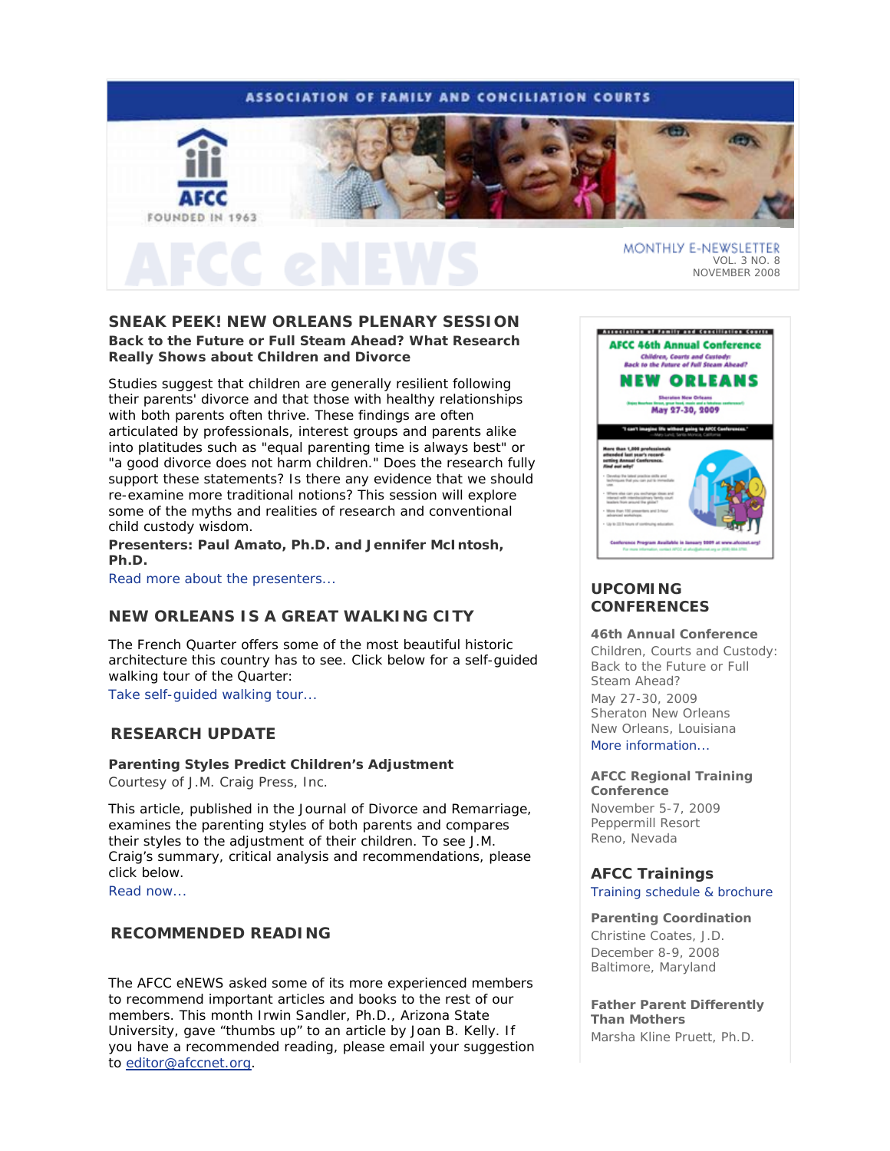## **ASSOCIATION OF FAMILY AND CONCILIATION COURTS**



## MONTHLY E-NEWSLETTER VOL. 3 NO. 8 NOVEMBER 2008

## **SNEAK PEEK! NEW ORLEANS PLENARY SESSION Back to the Future or Full Steam Ahead? What Research Really Shows about Children and Divorce**

Studies suggest that children are generally resilient following their parents' divorce and that those with healthy relationships with both parents often thrive. These findings are often articulated by professionals, interest groups and parents alike into platitudes such as "equal parenting time is always best" or "a good divorce does not harm children." Does the research fully support these statements? Is there any evidence that we should re-examine more traditional notions? This session will explore some of the myths and realities of research and conventional child custody wisdom.

*Presenters: Paul Amato, Ph.D. and Jennifer McIntosh, Ph.D.*

Read more about the presenters...

## **NEW ORLEANS IS A GREAT WALKING CITY**

The French Quarter offers some of the most beautiful historic architecture this country has to see. Click below for a self-guided walking tour of the Quarter:

Take self-guided walking tour...

## **RESEARCH UPDATE**

**Parenting Styles Predict Children's Adjustment**  *Courtesy of J.M. Craig Press, Inc.* 

This article, published in the *Journal of Divorce and Remarriage*, examines the parenting styles of both parents and compares their styles to the adjustment of their children. To see J.M. Craig's summary, critical analysis and recommendations, please click below.

Read now...

### **RECOMMENDED READING**

The AFCC eNEWS asked some of its more experienced members to recommend important articles and books to the rest of our members. This month Irwin Sandler, Ph.D., Arizona State University, gave "thumbs up" to an article by Joan B. Kelly. If you have a recommended reading, please email your suggestion to editor@afccnet.org.



## **UPCOMING CONFERENCES**

**46th Annual Conference**

*Children, Courts and Custody: Back to the Future or Full Steam Ahead?*  May 27-30, 2009 Sheraton New Orleans New Orleans, Louisiana More information...

### **AFCC Regional Training**

**Conference**  November 5-7, 2009 Peppermill Resort Reno, Nevada

# **AFCC Trainings**

Training schedule & brochure

### **Parenting Coordination**

*Christine Coates, J.D.* December 8-9, 2008 Baltimore, Maryland

**Father Parent Differently Than Mothers** *Marsha Kline Pruett, Ph.D.*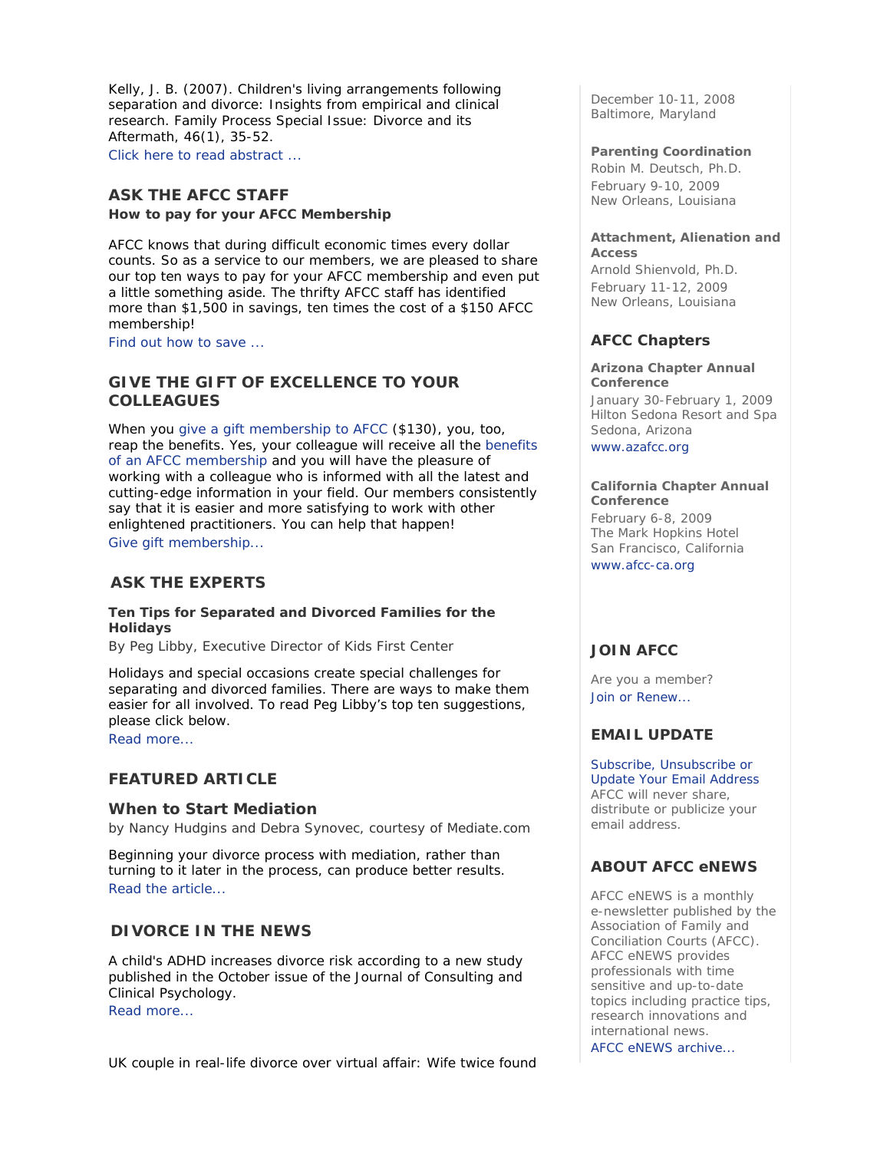Kelly, J. B. (2007). Children's living arrangements following separation and divorce: Insights from empirical and clinical research. *Family Process Special Issue: Divorce and its Aftermath, 46(1), 35-52.* 

Click here to read abstract ...

## **ASK THE AFCC STAFF**

**How to pay for your AFCC Membership** 

AFCC knows that during difficult economic times every dollar counts. So as a service to our members, we are pleased to share our top ten ways to pay for your AFCC membership and even put a little something aside. The thrifty AFCC staff has identified more than \$1,500 in savings, ten times the cost of a \$150 AFCC membership!

Find out how to save ...

## **GIVE THE GIFT OF EXCELLENCE TO YOUR COLLEAGUES**

When you give a gift membership to AFCC (\$130), you, too, reap the benefits. Yes, your colleague will receive all the benefits of an AFCC membership and you will have the pleasure of working with a colleague who is informed with all the latest and cutting-edge information in your field. Our members consistently say that it is easier and more satisfying to work with other enlightened practitioners. You can help that happen! Give gift membership...

## **ASK THE EXPERTS**

**Ten Tips for Separated and Divorced Families for the Holidays** 

*By Peg Libby, Executive Director of Kids First Center*

Holidays and special occasions create special challenges for separating and divorced families. There are ways to make them easier for all involved. To read Peg Libby's top ten suggestions, please click below.

Read more...

## **FEATURED ARTICLE**

**When to Start Mediation** 

*by Nancy Hudgins and Debra Synovec, courtesy of Mediate.com*

Beginning your divorce process with mediation, rather than turning to it later in the process, can produce better results. Read the article...

## **DIVORCE IN THE NEWS**

A child's ADHD increases divorce risk according to a new study published in the October issue of the *Journal of Consulting and Clinical Psychology.* Read more...

UK couple in real-life divorce over virtual affair: Wife twice found

December 10-11, 2008 Baltimore, Maryland

### **Parenting Coordination**

*Robin M. Deutsch, Ph.D.*  February 9-10, 2009 New Orleans, Louisiana

**Attachment, Alienation and Access**

*Arnold Shienvold, Ph.D.* February 11-12, 2009 New Orleans, Louisiana

### **AFCC Chapters**

#### **Arizona Chapter Annual Conference**

January 30-February 1, 2009 Hilton Sedona Resort and Spa Sedona, Arizona www.azafcc.org

**California Chapter Annual** 

**Conference** February 6-8, 2009 The Mark Hopkins Hotel San Francisco, California

www.afcc-ca.org

## **JOIN AFCC**

Are you a member? Join or Renew...

## **EMAIL UPDATE**

Subscribe, Unsubscribe or Update Your Email Address AFCC will never share, distribute or publicize your email address.

## **ABOUT AFCC eNEWS**

*AFCC eNEWS* is a monthly e-newsletter published by the Association of Family and Conciliation Courts (AFCC). *AFCC eNEWS* provides professionals with time sensitive and up-to-date topics including practice tips, research innovations and international news.

AFCC eNEWS archive...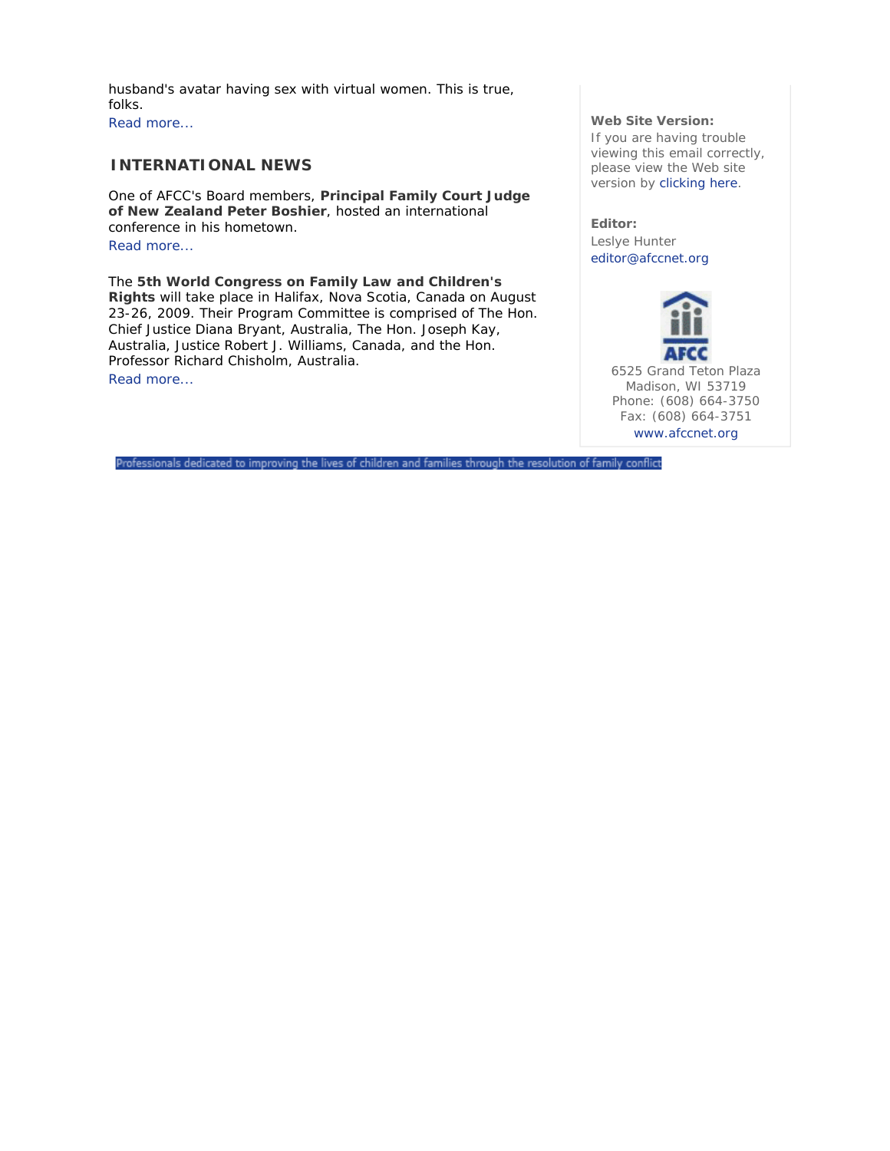husband's avatar having sex with virtual women. This is true, folks. Read more...

### **INTERNATIONAL NEWS**

One of AFCC's Board members, **Principal Family Court Judge of New Zealand Peter Boshier**, hosted an international conference in his hometown. Read more...

The **5th World Congress on Family Law and Children's Rights** will take place in Halifax, Nova Scotia, Canada on August 23-26, 2009. Their Program Committee is comprised of The Hon. Chief Justice Diana Bryant, Australia, The Hon. Joseph Kay, Australia, Justice Robert J. Williams, Canada, and the Hon. Professor Richard Chisholm, Australia. Read more...

### **Web Site Version:**

If you are having trouble viewing this email correctly, please view the Web site version by clicking here.

**Editor:**  Leslye Hunter editor@afccnet.org



Professionals dedicated to improving the lives of children and families through the resolution of family conflict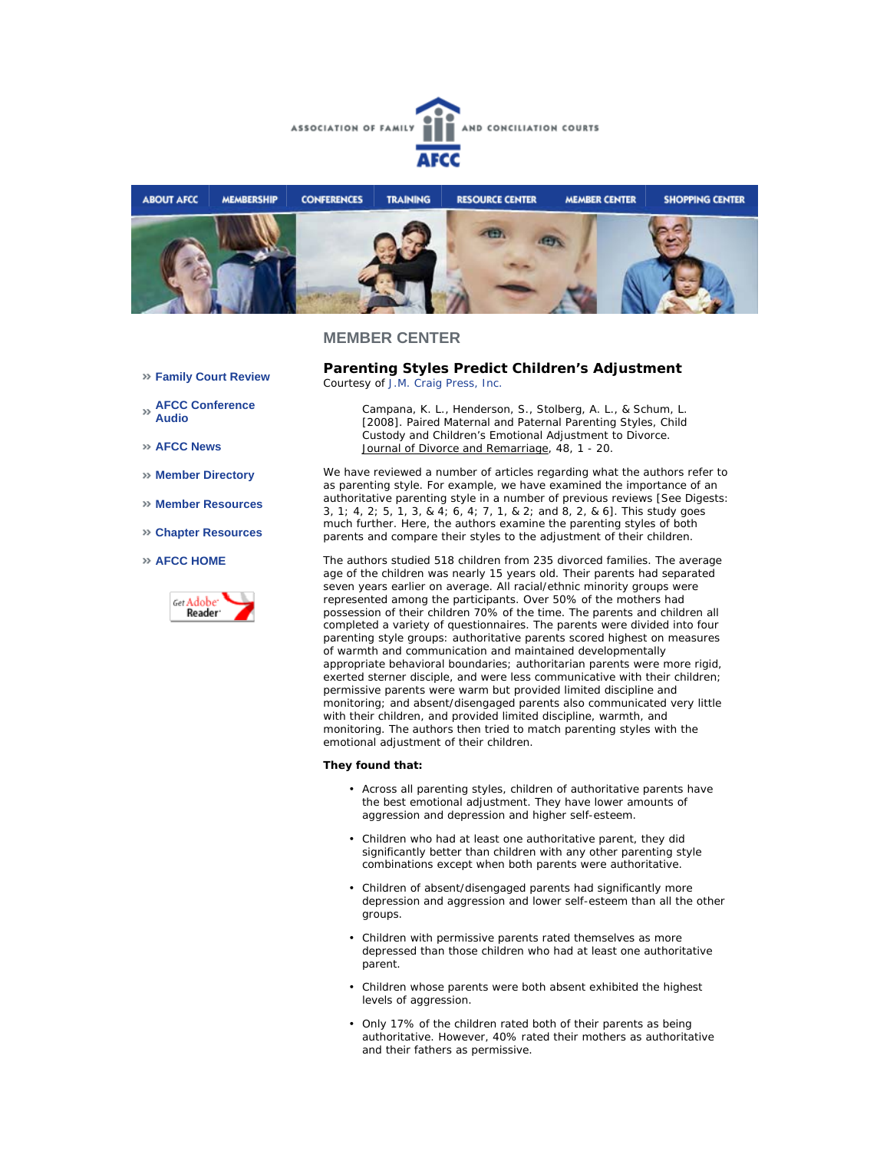



**Family Court Review** 

**AFCC Conference Audio** 

**AFCC News** 

- **Member Directory**
- **Member Resources**
- **Chapter Resources**

#### **AFCC HOME**



**Parenting Styles Predict Children's Adjustment**  *Courtesy of J.M. Craig Press, Inc.*

*Campana, K. L., Henderson, S., Stolberg, A. L., & Schum, L. [2008]. Paired Maternal and Paternal Parenting Styles, Child Custody and Children's Emotional Adjustment to Divorce. Journal of Divorce and Remarriage, 48, 1 - 20.*

We have reviewed a number of articles regarding what the authors refer to as parenting style. For example, we have examined the importance of an authoritative parenting style in a number of previous reviews [See Digests: 3, 1; 4, 2; 5, 1, 3, & 4; 6, 4; 7, 1, & 2; and 8, 2, & 6]. This study goes much further. Here, the authors examine the parenting styles of both parents and compare their styles to the adjustment of their children.

The authors studied 518 children from 235 divorced families. The average age of the children was nearly 15 years old. Their parents had separated seven years earlier on average. All racial/ethnic minority groups were represented among the participants. Over 50% of the mothers had possession of their children 70% of the time. The parents and children all completed a variety of questionnaires. The parents were divided into four parenting style groups: authoritative parents scored highest on measures of warmth and communication and maintained developmentally appropriate behavioral boundaries; authoritarian parents were more rigid, exerted sterner disciple, and were less communicative with their children; permissive parents were warm but provided limited discipline and monitoring; and absent/disengaged parents also communicated very little with their children, and provided limited discipline, warmth, and monitoring. The authors then tried to match parenting styles with the emotional adjustment of their children.

#### **They found that:**

- Across all parenting styles, children of authoritative parents have the best emotional adjustment. They have lower amounts of aggression and depression and higher self-esteem.
- Children who had at least one authoritative parent, they did significantly better than children with any other parenting style combinations except when both parents were authoritative. •
- Children of absent/disengaged parents had significantly more depression and aggression and lower self-esteem than all the other groups.
- Children with permissive parents rated themselves as more depressed than those children who had at least one authoritative parent. •
- Children whose parents were both absent exhibited the highest levels of aggression.
- Only 17% of the children rated both of their parents as being authoritative. However, 40% rated their mothers as authoritative and their fathers as permissive.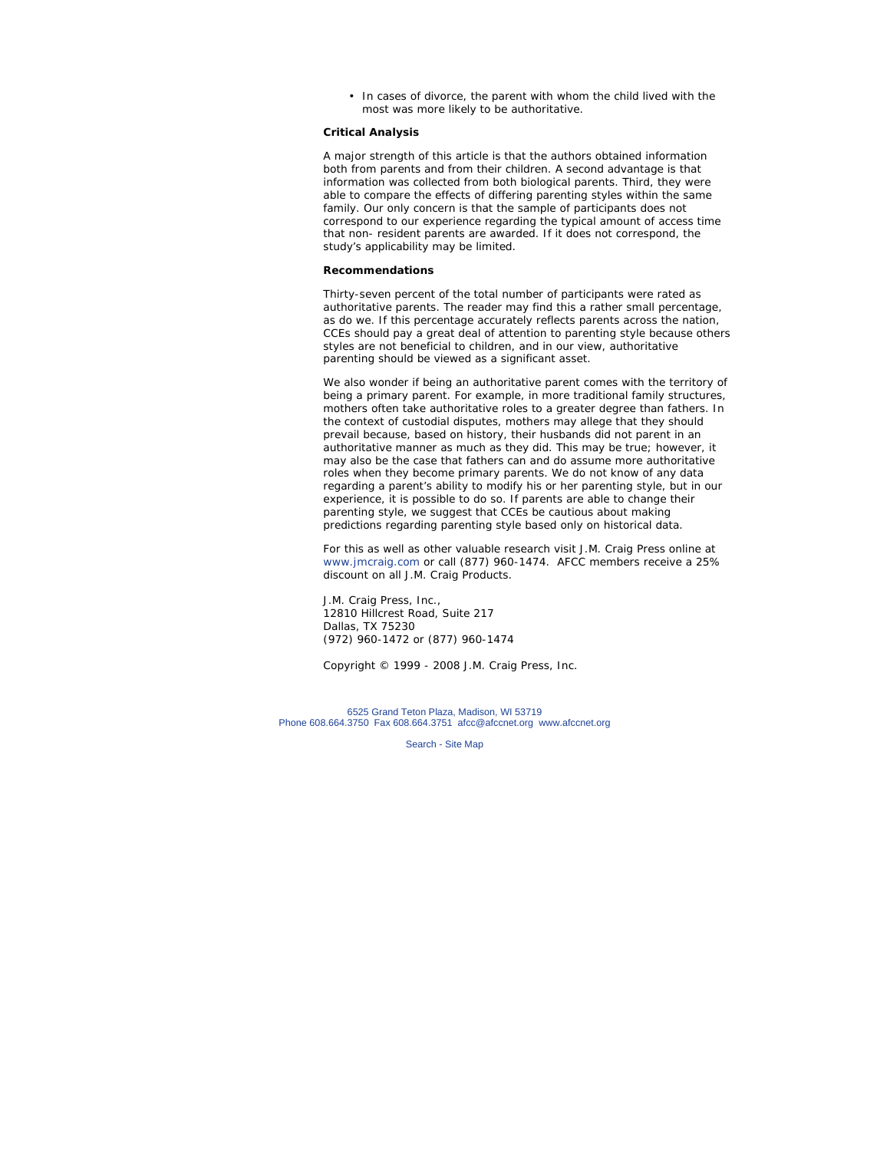• In cases of divorce, the parent with whom the child lived with the most was more likely to be authoritative.

#### **Critical Analysis**

A major strength of this article is that the authors obtained information both from parents and from their children. A second advantage is that information was collected from both biological parents. Third, they were able to compare the effects of differing parenting styles within the same family. Our only concern is that the sample of participants does not correspond to our experience regarding the typical amount of access time that non- resident parents are awarded. If it does not correspond, the study's applicability may be limited.

#### **Recommendations**

Thirty-seven percent of the total number of participants were rated as authoritative parents. The reader may find this a rather small percentage, as do we. If this percentage accurately reflects parents across the nation, CCEs should pay a great deal of attention to parenting style because others styles are not beneficial to children, and in our view, authoritative parenting should be viewed as a significant asset.

We also wonder if being an authoritative parent comes with the territory of being a primary parent. For example, in more traditional family structures, mothers often take authoritative roles to a greater degree than fathers. In the context of custodial disputes, mothers may allege that they should prevail because, based on history, their husbands did not parent in an authoritative manner as much as they did. This may be true; however, it may also be the case that fathers can and do assume more authoritative roles when they become primary parents. We do not know of any data regarding a parent's ability to modify his or her parenting style, but in our experience, it is possible to do so. If parents are able to change their parenting style, we suggest that CCEs be cautious about making predictions regarding parenting style based only on historical data.

*For this as well as other valuable research visit J.M. Craig Press online at www.jmcraig.com or call (877) 960-1474. AFCC members receive a 25% discount on all J.M. Craig Products.*

J.M. Craig Press, Inc., 12810 Hillcrest Road, Suite 217 Dallas, TX 75230 (972) 960-1472 or (877) 960-1474

*Copyright © 1999 - 2008 J.M. Craig Press, Inc.*

6525 Grand Teton Plaza, Madison, WI 53719 Phone 608.664.3750 Fax 608.664.3751 afcc@afccnet.org www.afccnet.org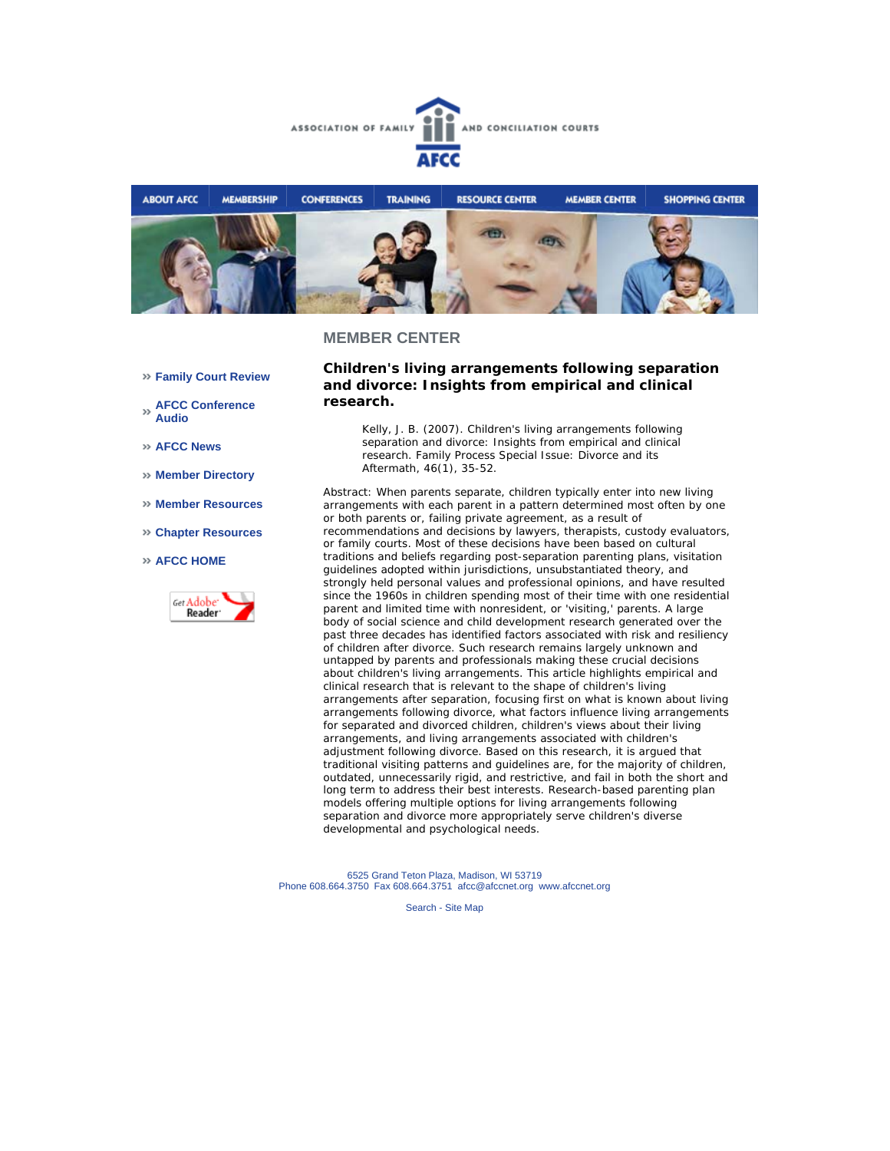



- **Family Court Review**
- **AFCC Conference Audio**
- **AFCC News**
- **Member Directory**
- **Member Resources**
- **Chapter Resources**

#### **AFCC HOME**



## **Children's living arrangements following separation and divorce: Insights from empirical and clinical research.**

Kelly, J. B. (2007). Children's living arrangements following separation and divorce: Insights from empirical and clinical research. *Family Process Special Issue: Divorce and its Aftermath, 46(1), 35-52*.

Abstract: When parents separate, children typically enter into new living arrangements with each parent in a pattern determined most often by one or both parents or, failing private agreement, as a result of recommendations and decisions by lawyers, therapists, custody evaluators, or family courts. Most of these decisions have been based on cultural traditions and beliefs regarding post-separation parenting plans, visitation guidelines adopted within jurisdictions, unsubstantiated theory, and strongly held personal values and professional opinions, and have resulted since the 1960s in children spending most of their time with one residential parent and limited time with nonresident, or 'visiting,' parents. A large body of social science and child development research generated over the past three decades has identified factors associated with risk and resiliency of children after divorce. Such research remains largely unknown and untapped by parents and professionals making these crucial decisions about children's living arrangements. This article highlights empirical and clinical research that is relevant to the shape of children's living arrangements after separation, focusing first on what is known about living arrangements following divorce, what factors influence living arrangements for separated and divorced children, children's views about their living arrangements, and living arrangements associated with children's adjustment following divorce. Based on this research, it is argued that traditional visiting patterns and guidelines are, for the majority of children, outdated, unnecessarily rigid, and restrictive, and fail in both the short and long term to address their best interests. Research-based parenting plan models offering multiple options for living arrangements following separation and divorce more appropriately serve children's diverse developmental and psychological needs.

6525 Grand Teton Plaza, Madison, WI 53719 Phone 608.664.3750 Fax 608.664.3751 afcc@afccnet.org www.afccnet.org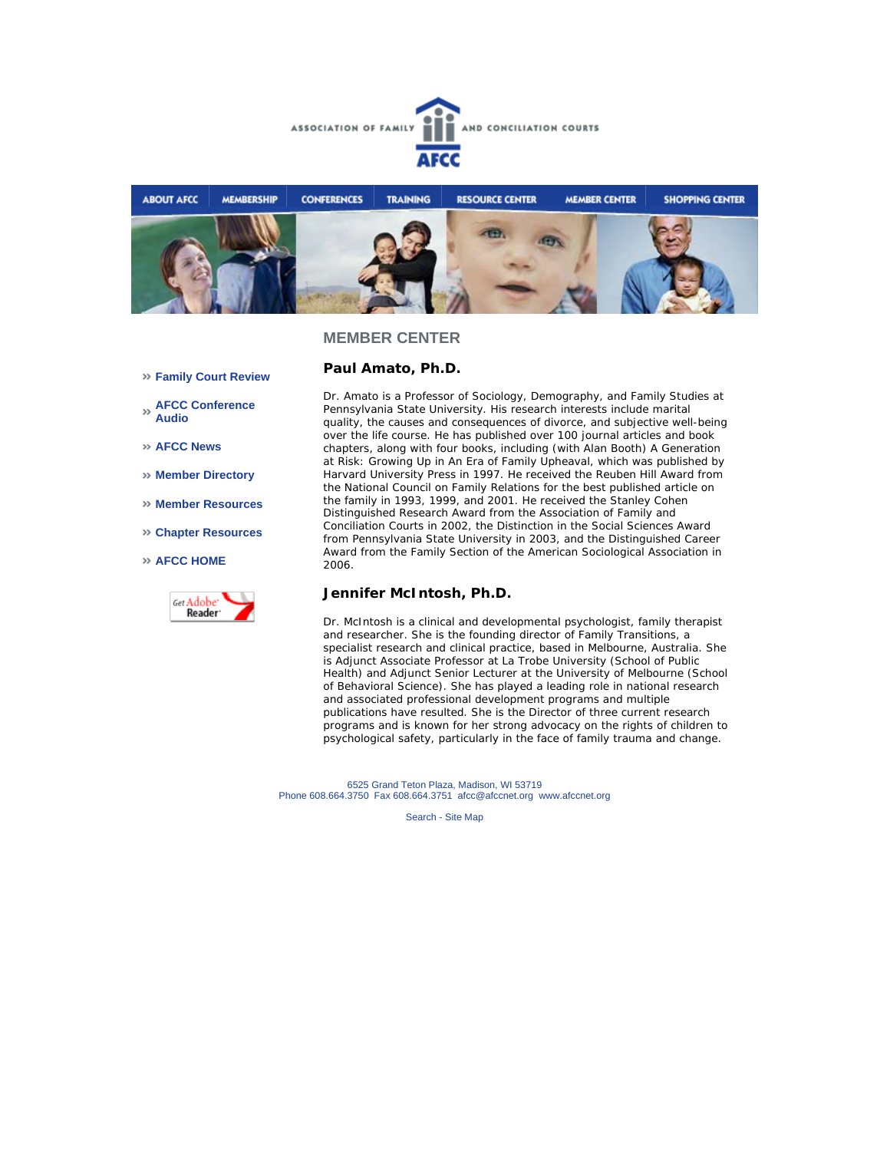



*Paul Amato, Ph.D.*

- **Family Court Review**
- **AFCC Conference Audio**
- **AFCC News**
- **Member Directory**
- **Member Resources**
- **Chapter Resources**
- **AFCC HOME**



Dr. Amato is a Professor of Sociology, Demography, and Family Studies at Pennsylvania State University. His research interests include marital quality, the causes and consequences of divorce, and subjective well-being over the life course. He has published over 100 journal articles and book chapters, along with four books, including (with Alan Booth) A Generation at Risk: Growing Up in An Era of Family Upheaval, which was published by Harvard University Press in 1997. He received the Reuben Hill Award from the National Council on Family Relations for the best published article on the family in 1993, 1999, and 2001. He received the Stanley Cohen Distinguished Research Award from the Association of Family and Conciliation Courts in 2002, the Distinction in the Social Sciences Award from Pennsylvania State University in 2003, and the Distinguished Career Award from the Family Section of the American Sociological Association in 2006.

#### *Jennifer McIntosh, Ph.D.*

Dr. McIntosh is a clinical and developmental psychologist, family therapist and researcher. She is the founding director of Family Transitions, a specialist research and clinical practice, based in Melbourne, Australia. She is Adjunct Associate Professor at La Trobe University (School of Public Health) and Adjunct Senior Lecturer at the University of Melbourne (School of Behavioral Science). She has played a leading role in national research and associated professional development programs and multiple publications have resulted. She is the Director of three current research programs and is known for her strong advocacy on the rights of children to psychological safety, particularly in the face of family trauma and change.

6525 Grand Teton Plaza, Madison, WI 53719 Phone 608.664.3750 Fax 608.664.3751 afcc@afccnet.org www.afccnet.org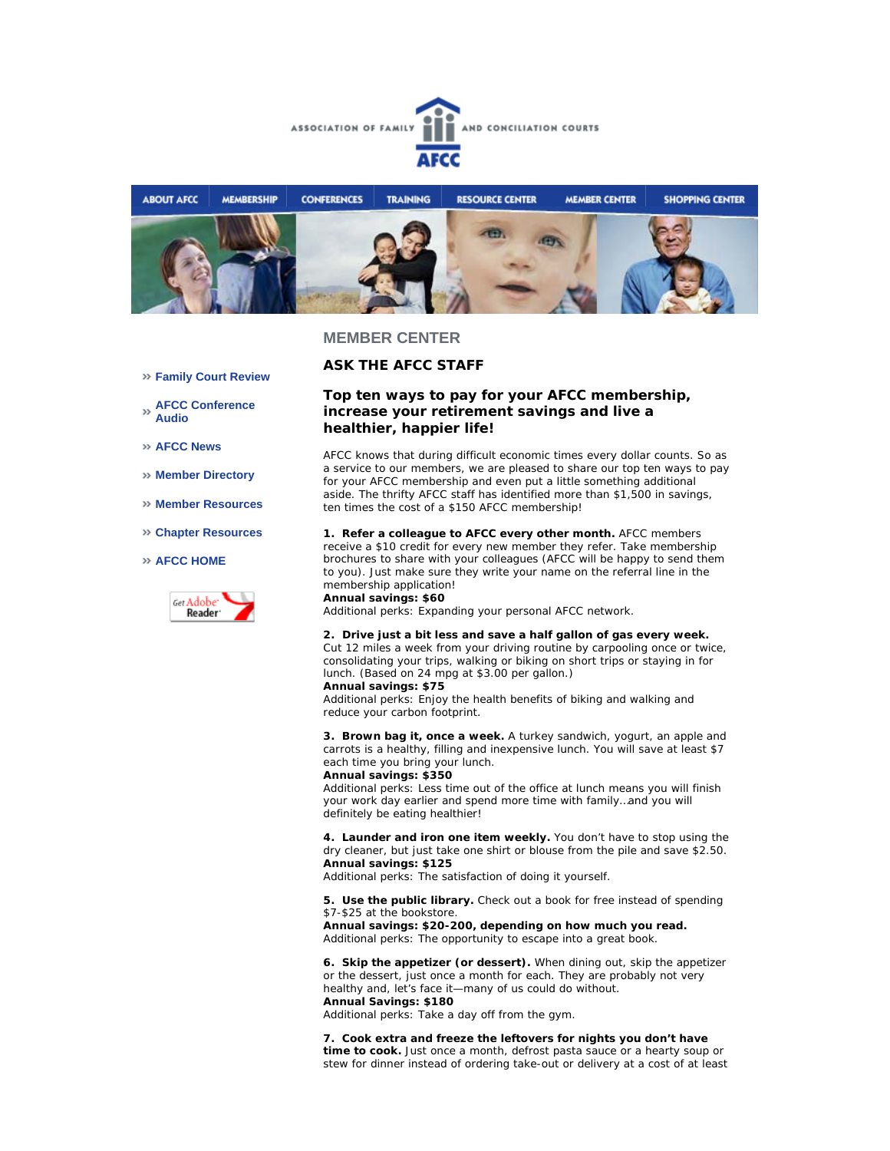



#### **Family Court Review**

**AFCC Conference Audio** 

**AFCC News** 

**Member Directory** 

**Member Resources** 

**Chapter Resources** 

#### **AFCC HOME**



## **ASK THE AFCC STAFF**

### **Top ten ways to pay for your AFCC membership, increase your retirement savings and live a healthier, happier life!**

AFCC knows that during difficult economic times every dollar counts. So as a service to our members, we are pleased to share our top ten ways to pay for your AFCC membership and even put a little something additional aside. The thrifty AFCC staff has identified more than \$1,500 in savings, ten times the cost of a \$150 AFCC membership!

**1. Refer a colleague to AFCC every other month.** AFCC members

receive a \$10 credit for every new member they refer. Take membership brochures to share with your colleagues (AFCC will be happy to send them to you). Just make sure they write your name on the referral line in the membership application!

#### **Annual savings: \$60**

*Additional perks: Expanding your personal AFCC network.* 

### **2. Drive just a bit less and save a half gallon of gas every week.** Cut 12 miles a week from your driving routine by carpooling once or twice,

consolidating your trips, walking or biking on short trips or staying in for lunch. (Based on 24 mpg at \$3.00 per gallon.)

### **Annual savings: \$75**

*Additional perks: Enjoy the health benefits of biking and walking and reduce your carbon footprint.*

**3. Brown bag it, once a week.** A turkey sandwich, yogurt, an apple and carrots is a healthy, filling and inexpensive lunch. You will save at least \$7 each time you bring your lunch.

#### **Annual savings: \$350**

*Additional perks: Less time out of the office at lunch means you will finish your work day earlier and spend more time with family…and you will definitely be eating healthier!* 

**4. Launder and iron one item weekly.** You don't have to stop using the dry cleaner, but just take one shirt or blouse from the pile and save \$2.50. **Annual savings: \$125** 

*Additional perks: The satisfaction of doing it yourself.*

**5. Use the public library.** Check out a book for free instead of spending \$7-\$25 at the bookstore.

**Annual savings: \$20-200, depending on how much you read.**  *Additional perks: The opportunity to escape into a great book.* 

**6. Skip the appetizer (or dessert).** When dining out, skip the appetizer or the dessert, just once a month for each. They are probably not very healthy and, let's face it—many of us could do without. **Annual Savings: \$180**  *Additional perks: Take a day off from the gym.* 

**7. Cook extra and freeze the leftovers for nights you don't have time to cook.** Just once a month, defrost pasta sauce or a hearty soup or stew for dinner instead of ordering take-out or delivery at a cost of at least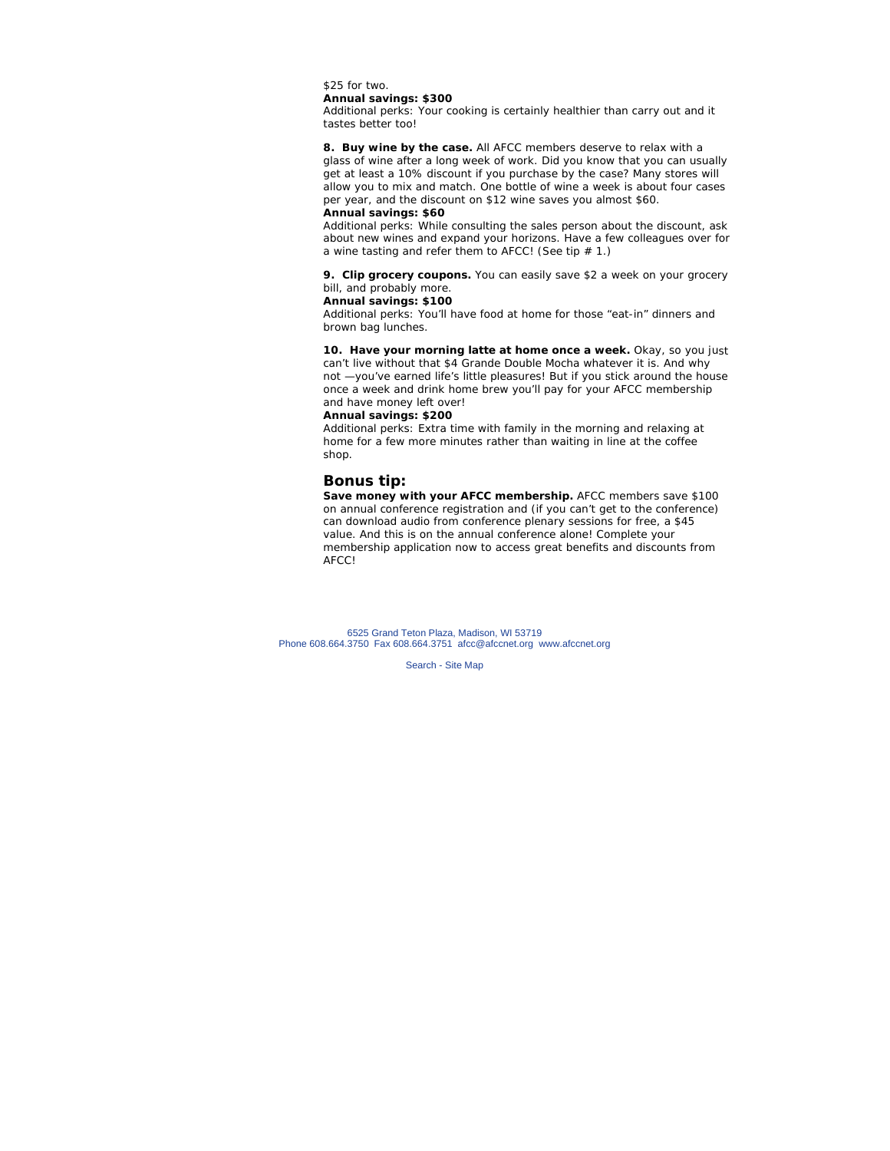#### \$25 for two. **Annual savings: \$300**

*Additional perks: Your cooking is certainly healthier than carry out and it tastes better too!* 

**8. Buy wine by the case.** All AFCC members deserve to relax with a glass of wine after a long week of work. Did you know that you can usually get at least a 10% discount if you purchase by the case? Many stores will allow you to mix and match. One bottle of wine a week is about four cases per year, and the discount on \$12 wine saves you almost \$60.

#### **Annual savings: \$60**

*Additional perks: While consulting the sales person about the discount, ask about new wines and expand your horizons. Have a few colleagues over for a wine tasting and refer them to AFCC! (See tip # 1.)*

**9. Clip grocery coupons.** You can easily save \$2 a week on your grocery bill, and probably more.

#### **Annual savings: \$100**

*Additional perks: You'll have food at home for those "eat-in" dinners and brown bag lunches.* 

**10. Have your morning latte at home once a week.** Okay, so you just can't live without that \$4 Grande Double Mocha whatever it is. And why not —you've earned life's little pleasures! But if you stick around the house once a week and drink home brew you'll pay for your AFCC membership and have money left over!

#### **Annual savings: \$200**

*Additional perks: Extra time with family in the morning and relaxing at home for a few more minutes rather than waiting in line at the coffee shop.* 

#### **Bonus tip:**

**Save money with your AFCC membership.** AFCC members save \$100 on annual conference registration and (if you can't get to the conference) can download audio from conference plenary sessions for free, a \$45 value. And this is on the annual conference alone! Complete your membership application now to access great benefits and discounts from AFCC!

6525 Grand Teton Plaza, Madison, WI 53719 Phone 608.664.3750 Fax 608.664.3751 afcc@afccnet.org www.afccnet.org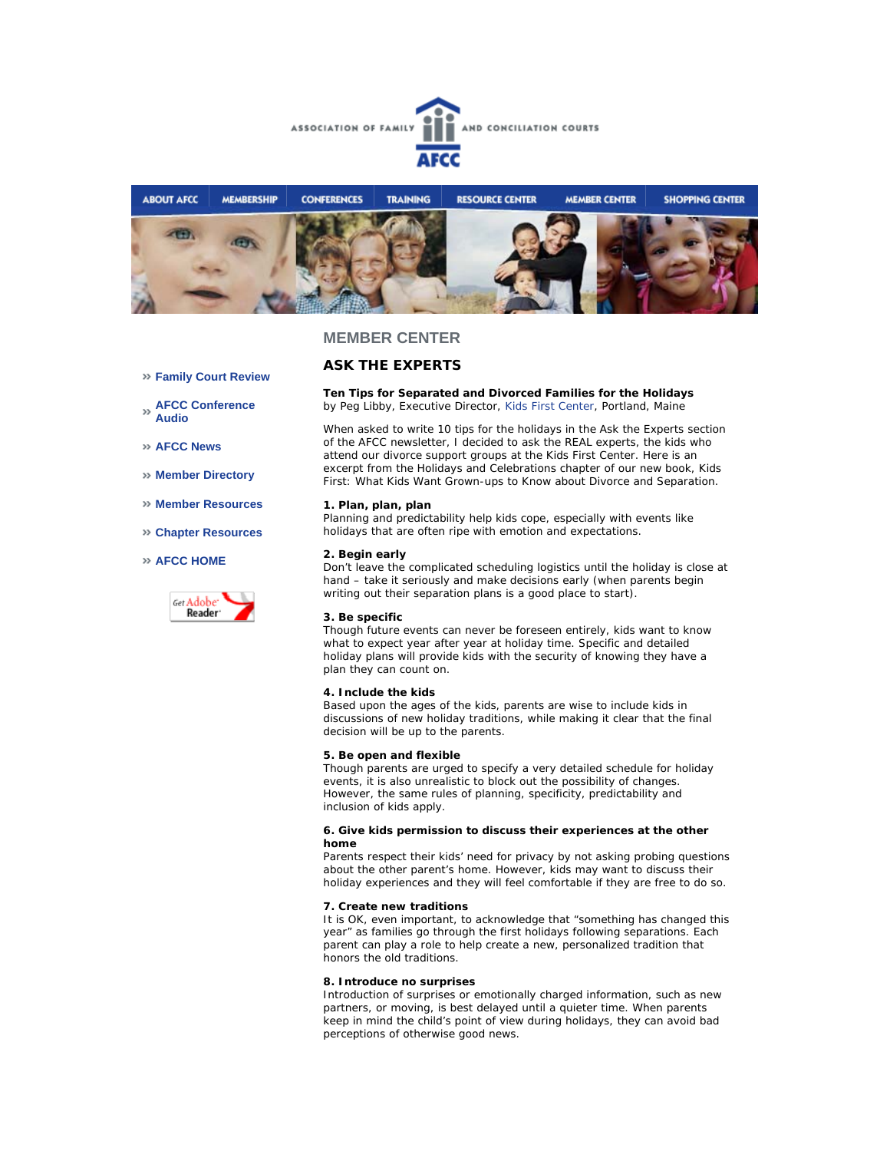



#### **Family Court Review ASK THE EXPERTS**

**AFCC Conference Audio** 

- **AFCC News**
- **Member Directory**
- **Member Resources**
- **Chapter Resources**

#### **AFCC HOME**



**Ten Tips for Separated and Divorced Families for the Holidays** *by Peg Libby, Executive Director, Kids First Center, Portland, Maine*

*When asked to write 10 tips for the holidays in the* Ask the Experts *section of the AFCC newsletter, I decided to ask the REAL experts, the kids who attend our divorce support groups at the Kids First Center. Here is an excerpt from the* Holidays and Celebrations *chapter of our new book*, Kids First: What Kids Want Grown-ups to Know about Divorce and Separation.

#### **1. Plan, plan, plan**

Planning and predictability help kids cope, especially with events like holidays that are often ripe with emotion and expectations.

#### **2. Begin early**

Don't leave the complicated scheduling logistics until the holiday is close at hand – take it seriously and make decisions early (when parents begin writing out their separation plans is a good place to start).

#### **3. Be specific**

Though future events can never be foreseen entirely, kids want to know what to expect year after year at holiday time. Specific and detailed holiday plans will provide kids with the security of knowing they have a plan they can count on.

#### **4. Include the kids**

Based upon the ages of the kids, parents are wise to include kids in discussions of new holiday traditions, while making it clear that the final decision will be up to the parents.

#### **5. Be open and flexible**

Though parents are urged to specify a very detailed schedule for holiday events, it is also unrealistic to block out the possibility of changes. However, the same rules of planning, specificity, predictability and inclusion of kids apply.

#### **6. Give kids permission to discuss their experiences at the other home**

Parents respect their kids' need for privacy by not asking probing questions about the other parent's home. However, kids may want to discuss their holiday experiences and they will feel comfortable if they are free to do so.

#### **7. Create new traditions**

It is OK, even important, to acknowledge that "something has changed this year" as families go through the first holidays following separations. Each parent can play a role to help create a new, personalized tradition that honors the old traditions.

#### **8. Introduce no surprises**

Introduction of surprises or emotionally charged information, such as new partners, or moving, is best delayed until a quieter time. When parents keep in mind the child's point of view during holidays, they can avoid bad perceptions of otherwise good news.